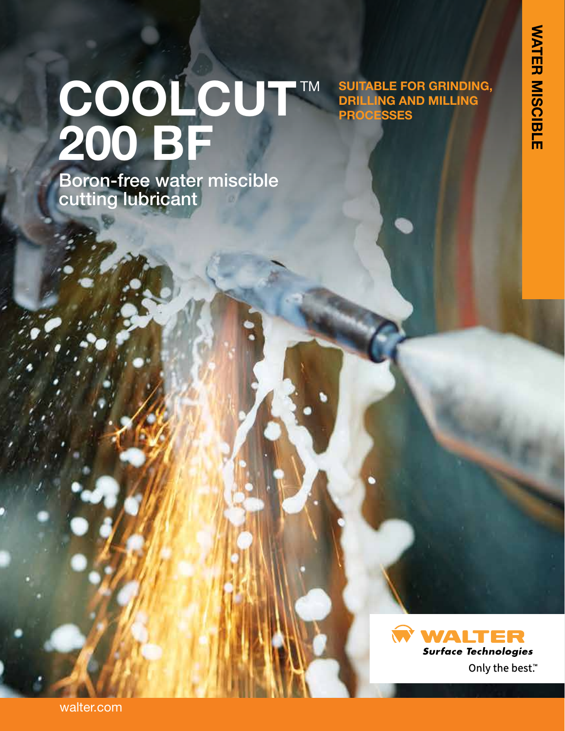**SUITABLE FOR GRINDING, DRILLING AND MILLING** 

**PROCESSES**

# COOLCUT™ **200 BF**

Boron-free water miscible cutting lubricant